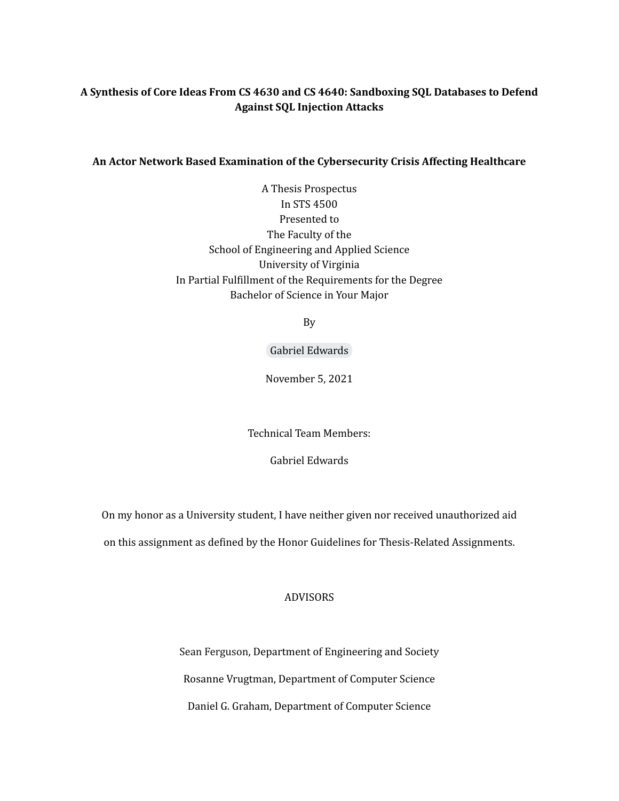# **A Synthesis of Core Ideas From CS 4630 and CS 4640: Sandboxing SQL Databases to Defend Against SQL Injection Attacks**

## **An Actor Network Based Examination of the Cybersecurity Crisis Affecting Healthcare**

A Thesis Prospectus In STS 4500 Presented to The Faculty of the School of Engineering and Applied Science University of Virginia In Partial Fulfillment of the Requirements for the Degree Bachelor of Science in Your Major

By

Gabriel [Edwards](mailto:gse3ez@virginia.edu)

November 5, 2021

Technical Team Members:

Gabriel Edwards

On my honor as a University student, I have neither given nor received unauthorized aid

on this assignment as defined by the Honor Guidelines for Thesis-Related Assignments.

## ADVISORS

Sean Ferguson, Department of Engineering and Society Rosanne Vrugtman, Department of Computer Science Daniel G. Graham, Department of Computer Science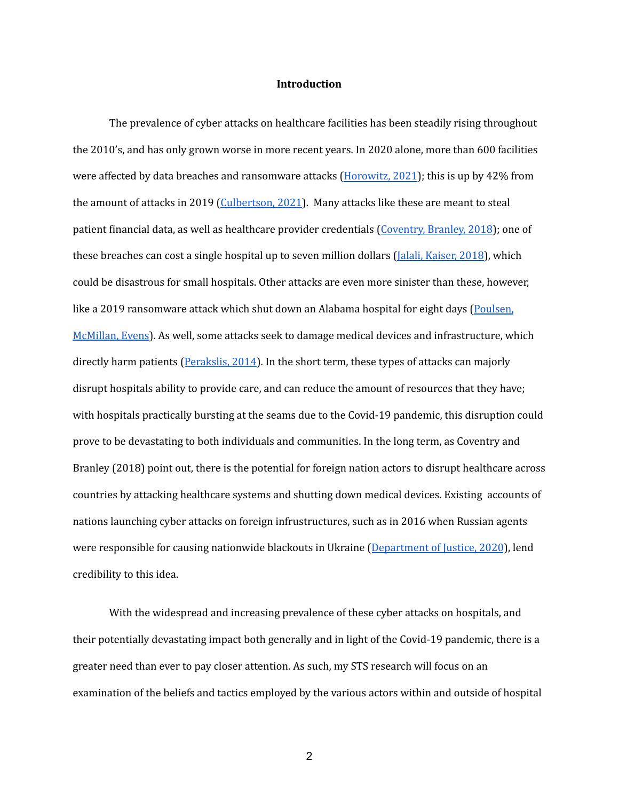## **Introduction**

The prevalence of cyber attacks on healthcare facilities has been steadily rising throughout the 2010's, and has only grown worse in more recent years. In 2020 alone, more than 600 facilities were affected by data breaches and ransomware attacks [\(Horowitz,](https://www.fiercehealthcare.com/tech/ransomware-attacks-cost-healthcare-industry-21b-2020-here-s-how-many-attacks-hit-providers) 2021); this is up by 42% from the amount of attacks in 2019 [\(Culbertson,](https://www.forbes.com/sites/forbestechcouncil/2021/06/07/increased-cyberattacks-on-healthcare-institutions-shows-the-need-for-greater-cybersecurity/?sh=60fc75985650) 2021). Many attacks like these are meant to steal patient financial data, as well as healthcare provider credentials ([Coventry,](https://pubmed.ncbi.nlm.nih.gov/29903648/) Branley, 2018); one of these breaches can cost a single hospital up to seven million dollars (*Jalali, [Kaiser,](https://www.jmir.org/2018/5/e10059/) 2018*), which could be disastrous for small hospitals. Other attacks are even more sinister than these, however, like a 2019 ransomware attack which shut down an Alabama hospital for eight days ([Poulsen,](https://www.wsj.com/articles/ransomware-hackers-hospital-first-alleged-death-11633008116) [McMillan,](https://www.wsj.com/articles/ransomware-hackers-hospital-first-alleged-death-11633008116) Evens). As well, some attacks seek to damage medical devices and infrastructure, which directly harm patients ([Perakslis,](http://www.forpath.org/glem/minutes/140905/Glem_140905_Cybersecurity_in_Health_Care.pdf) 2014). In the short term, these types of attacks can majorly disrupt hospitals ability to provide care, and can reduce the amount of resources that they have; with hospitals practically bursting at the seams due to the Covid-19 pandemic, this disruption could prove to be devastating to both individuals and communities. In the long term, as Coventry and Branley (2018) point out, there is the potential for foreign nation actors to disrupt healthcare across countries by attacking healthcare systems and shutting down medical devices. Existing accounts of nations launching cyber attacks on foreign infrustructures, such as in 2016 when Russian agents were responsible for causing nationwide blackouts in Ukraine ([Department](https://www.justice.gov/opa/pr/six-russian-gru-officers-charged-connection-worldwide-deployment-destructive-malware-and) of Justice, 2020), lend credibility to this idea.

With the widespread and increasing prevalence of these cyber attacks on hospitals, and their potentially devastating impact both generally and in light of the Covid-19 pandemic, there is a greater need than ever to pay closer attention. As such, my STS research will focus on an examination of the beliefs and tactics employed by the various actors within and outside of hospital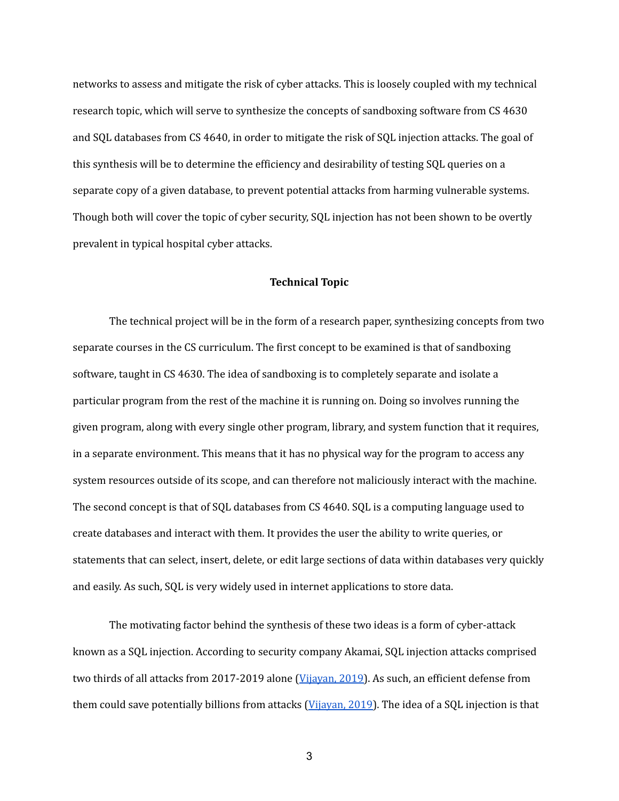networks to assess and mitigate the risk of cyber attacks. This is loosely coupled with my technical research topic, which will serve to synthesize the concepts of sandboxing software from CS 4630 and SQL databases from CS 4640, in order to mitigate the risk of SQL injection attacks. The goal of this synthesis will be to determine the efficiency and desirability of testing SQL queries on a separate copy of a given database, to prevent potential attacks from harming vulnerable systems. Though both will cover the topic of cyber security, SQL injection has not been shown to be overtly prevalent in typical hospital cyber attacks.

#### **Technical Topic**

The technical project will be in the form of a research paper, synthesizing concepts from two separate courses in the CS curriculum. The first concept to be examined is that of sandboxing software, taught in CS 4630. The idea of sandboxing is to completely separate and isolate a particular program from the rest of the machine it is running on. Doing so involves running the given program, along with every single other program, library, and system function that it requires, in a separate environment. This means that it has no physical way for the program to access any system resources outside of its scope, and can therefore not maliciously interact with the machine. The second concept is that of SQL databases from CS 4640. SQL is a computing language used to create databases and interact with them. It provides the user the ability to write queries, or statements that can select, insert, delete, or edit large sections of data within databases very quickly and easily. As such, SQL is very widely used in internet applications to store data.

The motivating factor behind the synthesis of these two ideas is a form of cyber-attack known as a SQL injection. According to security company Akamai, SQL injection attacks comprised two thirds of all attacks from 2017-2019 alone [\(Vijayan,](https://www.darkreading.com/attacks-breaches/sql-injection-attacks-represent-two-third-of-all-web-app-attacks) 2019). As such, an efficient defense from them could save potentially billions from attacks [\(Vijayan,](https://www.darkreading.com/attacks-breaches/sql-injection-attacks-represent-two-third-of-all-web-app-attacks) 2019). The idea of a SQL injection is that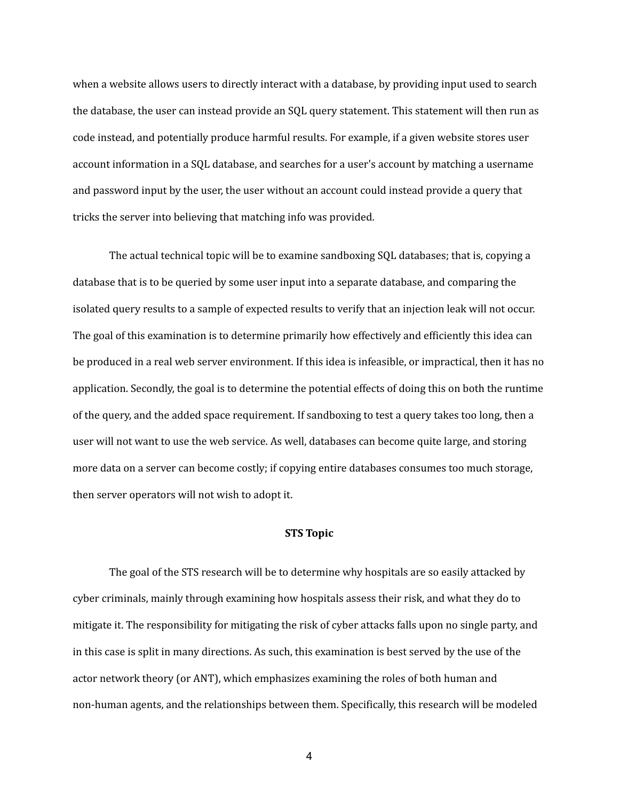when a website allows users to directly interact with a database, by providing input used to search the database, the user can instead provide an SQL query statement. This statement will then run as code instead, and potentially produce harmful results. For example, if a given website stores user account information in a SQL database, and searches for a user's account by matching a username and password input by the user, the user without an account could instead provide a query that tricks the server into believing that matching info was provided.

The actual technical topic will be to examine sandboxing SQL databases; that is, copying a database that is to be queried by some user input into a separate database, and comparing the isolated query results to a sample of expected results to verify that an injection leak will not occur. The goal of this examination is to determine primarily how effectively and efficiently this idea can be produced in a real web server environment. If this idea is infeasible, or impractical, then it has no application. Secondly, the goal is to determine the potential effects of doing this on both the runtime of the query, and the added space requirement. If sandboxing to test a query takes too long, then a user will not want to use the web service. As well, databases can become quite large, and storing more data on a server can become costly; if copying entire databases consumes too much storage, then server operators will not wish to adopt it.

### **STS Topic**

The goal of the STS research will be to determine why hospitals are so easily attacked by cyber criminals, mainly through examining how hospitals assess their risk, and what they do to mitigate it. The responsibility for mitigating the risk of cyber attacks falls upon no single party, and in this case is split in many directions. As such, this examination is best served by the use of the actor network theory (or ANT), which emphasizes examining the roles of both human and non-human agents, and the relationships between them. Specifically, this research will be modeled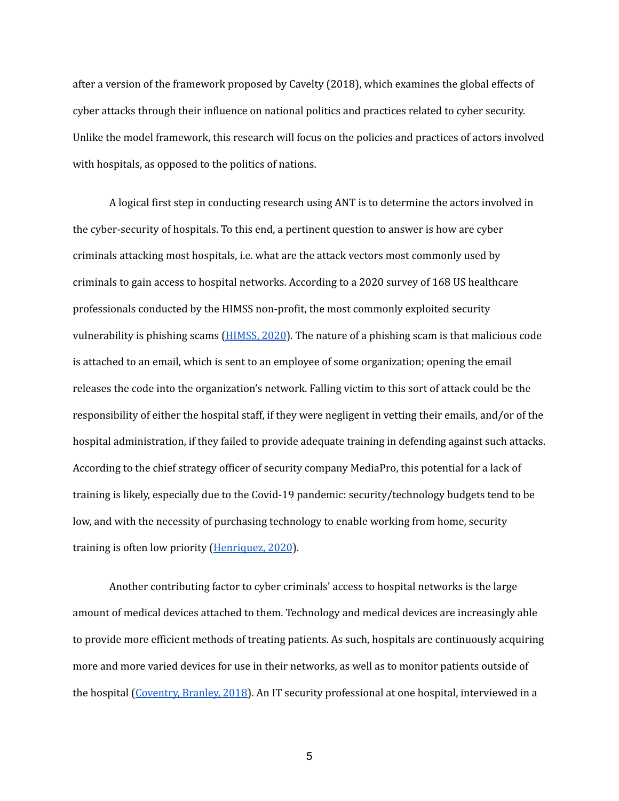after a version of the framework proposed by Cavelty (2018), which examines the global effects of cyber attacks through their influence on national politics and practices related to cyber security. Unlike the model framework, this research will focus on the policies and practices of actors involved with hospitals, as opposed to the politics of nations.

A logical first step in conducting research using ANT is to determine the actors involved in the cyber-security of hospitals. To this end, a pertinent question to answer is how are cyber criminals attacking most hospitals, i.e. what are the attack vectors most commonly used by criminals to gain access to hospital networks. According to a 2020 survey of 168 US healthcare professionals conducted by the HIMSS non-profit, the most commonly exploited security vulnerability is phishing scams [\(HIMSS,](https://www.himss.org/resources/himss-healthcare-cybersecurity-survey) 2020). The nature of a phishing scam is that malicious code is attached to an email, which is sent to an employee of some organization; opening the email releases the code into the organization's network. Falling victim to this sort of attack could be the responsibility of either the hospital staff, if they were negligent in vetting their emails, and/or of the hospital administration, if they failed to provide adequate training in defending against such attacks. According to the chief strategy officer of security company MediaPro, this potential for a lack of training is likely, especially due to the Covid-19 pandemic: security/technology budgets tend to be low, and with the necessity of purchasing technology to enable working from home, security training is often low priority [\(Henriquez,](https://www.securitymagazine.com/articles/93988-iowa-city-hospital-suffers-phishing-attack) 2020).

Another contributing factor to cyber criminals' access to hospital networks is the large amount of medical devices attached to them. Technology and medical devices are increasingly able to provide more efficient methods of treating patients. As such, hospitals are continuously acquiring more and more varied devices for use in their networks, as well as to monitor patients outside of the hospital [\(Coventry,](https://pubmed.ncbi.nlm.nih.gov/29903648/) Branley, 2018). An IT security professional at one hospital, interviewed in a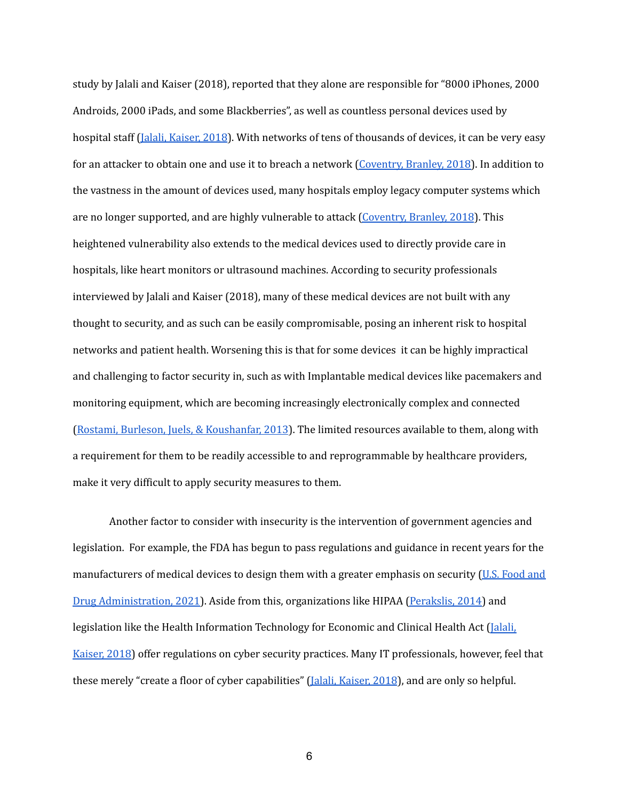study by Jalali and Kaiser (2018), reported that they alone are responsible for "8000 iPhones, 2000 Androids, 2000 iPads, and some Blackberries", as well as countless personal devices used by hospital staff (Jalali, [Kaiser,](https://www.jmir.org/2018/5/e10059/) 2018). With networks of tens of thousands of devices, it can be very easy for an attacker to obtain one and use it to breach a network [\(Coventry,](https://pubmed.ncbi.nlm.nih.gov/29903648/) Branley, 2018). In addition to the vastness in the amount of devices used, many hospitals employ legacy computer systems which are no longer supported, and are highly vulnerable to attack [\(Coventry,](https://pubmed.ncbi.nlm.nih.gov/29903648/) Branley, 2018). This heightened vulnerability also extends to the medical devices used to directly provide care in hospitals, like heart monitors or ultrasound machines. According to security professionals interviewed by Jalali and Kaiser (2018), many of these medical devices are not built with any thought to security, and as such can be easily compromisable, posing an inherent risk to hospital networks and patient health. Worsening this is that for some devices it can be highly impractical and challenging to factor security in, such as with Implantable medical devices like pacemakers and monitoring equipment, which are becoming increasingly electronically complex and connected (Rostami, Burleson, Juels, & [Koushanfar,](https://dl.acm.org/doi/pdf/10.1145/2463209.2488750) 2013). The limited resources available to them, along with a requirement for them to be readily accessible to and reprogrammable by healthcare providers, make it very difficult to apply security measures to them.

Another factor to consider with insecurity is the intervention of government agencies and legislation. For example, the FDA has begun to pass regulations and guidance in recent years for the manufacturers of medical devices to design them with a greater emphasis on security (U.S. [Food](https://www.fda.gov/medical-devices/digital-health-center-excellence/cybersecurity) and Drug [Administration,](https://www.fda.gov/medical-devices/digital-health-center-excellence/cybersecurity) 2021). Aside from this, organizations like HIPAA [\(Perakslis,](http://www.forpath.org/glem/minutes/140905/Glem_140905_Cybersecurity_in_Health_Care.pdf) 2014) and legislation like the Health Information Technology for Economic and Clinical Health Act [\(Jalali,](https://www.jmir.org/2018/5/e10059/) [Kaiser,](https://www.jmir.org/2018/5/e10059/) 2018) offer regulations on cyber security practices. Many IT professionals, however, feel that these merely "create a floor of cyber capabilities" (Jalali, [Kaiser,](https://www.jmir.org/2018/5/e10059/) 2018), and are only so helpful.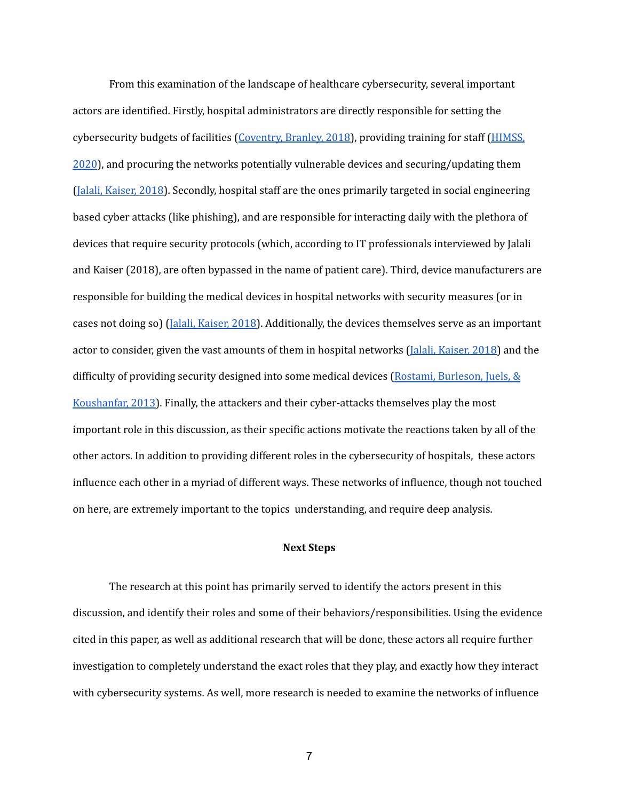From this examination of the landscape of healthcare cybersecurity, several important actors are identified. Firstly, hospital administrators are directly responsible for setting the cybersecurity budgets of facilities ([Coventry,](https://pubmed.ncbi.nlm.nih.gov/29903648/) Branley, 2018), providing training for staff [\(HIMSS,](https://www.himss.org/resources/himss-healthcare-cybersecurity-survey) [2020](https://www.himss.org/resources/himss-healthcare-cybersecurity-survey)), and procuring the networks potentially vulnerable devices and securing/updating them (Jalali, [Kaiser,](https://www.jmir.org/2018/5/e10059/) 2018). Secondly, hospital staff are the ones primarily targeted in social engineering based cyber attacks (like phishing), and are responsible for interacting daily with the plethora of devices that require security protocols (which, according to IT professionals interviewed by Jalali and Kaiser (2018), are often bypassed in the name of patient care). Third, device manufacturers are responsible for building the medical devices in hospital networks with security measures (or in cases not doing so) (Jalali, [Kaiser,](https://www.jmir.org/2018/5/e10059/) 2018). Additionally, the devices themselves serve as an important actor to consider, given the vast amounts of them in hospital networks (*Jalali, [Kaiser,](https://www.jmir.org/2018/5/e10059/) 2018*) and the difficulty of providing security designed into some medical devices (Rostami, [Burleson,](https://dl.acm.org/doi/pdf/10.1145/2463209.2488750) Juels, & [Koushanfar,](https://dl.acm.org/doi/pdf/10.1145/2463209.2488750) 2013). Finally, the attackers and their cyber-attacks themselves play the most important role in this discussion, as their specific actions motivate the reactions taken by all of the other actors. In addition to providing different roles in the cybersecurity of hospitals, these actors influence each other in a myriad of different ways. These networks of influence, though not touched on here, are extremely important to the topics understanding, and require deep analysis.

#### **Next Steps**

The research at this point has primarily served to identify the actors present in this discussion, and identify their roles and some of their behaviors/responsibilities. Using the evidence cited in this paper, as well as additional research that will be done, these actors all require further investigation to completely understand the exact roles that they play, and exactly how they interact with cybersecurity systems. As well, more research is needed to examine the networks of influence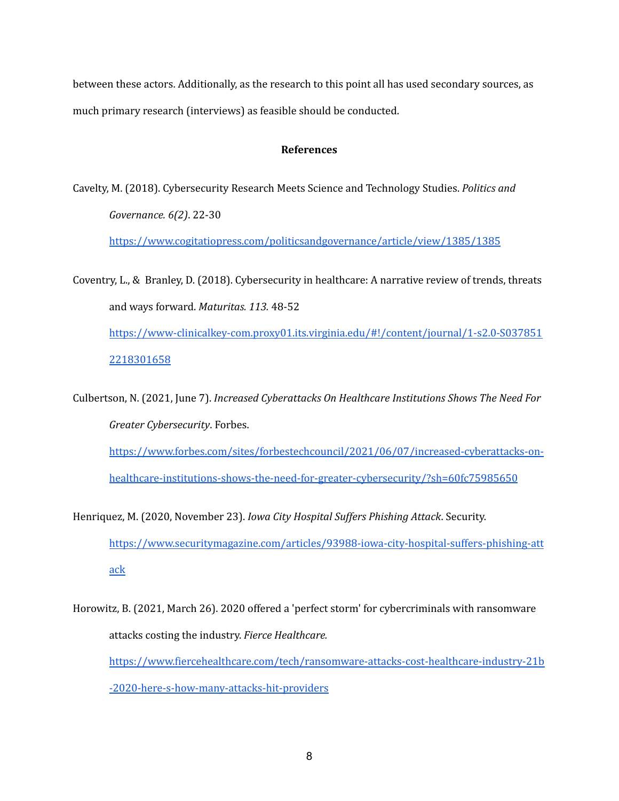between these actors. Additionally, as the research to this point all has used secondary sources, as much primary research (interviews) as feasible should be conducted.

## **References**

Cavelty, M. (2018). Cybersecurity Research Meets Science and Technology Studies. *Politics and Governance. 6(2)*. 22-30

<https://www.cogitatiopress.com/politicsandgovernance/article/view/1385/1385>

Coventry, L., & Branley, D. (2018). Cybersecurity in healthcare: A narrative review of trends, threats and ways forward. *Maturitas. 113.* 48-52 [https://www-clinicalkey-com.proxy01.its.virginia.edu/#!/content/journal/1-s2.0-S037851](https://www-clinicalkey-com.proxy01.its.virginia.edu/#!/content/journal/1-s2.0-S0378512218301658) [2218301658](https://www-clinicalkey-com.proxy01.its.virginia.edu/#!/content/journal/1-s2.0-S0378512218301658)

Culbertson, N. (2021, June 7). *Increased Cyberattacks On Healthcare Institutions Shows The Need For Greater Cybersecurity*. Forbes. [https://www.forbes.com/sites/forbestechcouncil/2021/06/07/increased-cyberattacks-on](https://www.forbes.com/sites/forbestechcouncil/2021/06/07/increased-cyberattacks-on-healthcare-institutions-shows-the-need-for-greater-cybersecurity/?sh=60fc75985650)[healthcare-institutions-shows-the-need-for-greater-cybersecurity/?sh=60fc75985650](https://www.forbes.com/sites/forbestechcouncil/2021/06/07/increased-cyberattacks-on-healthcare-institutions-shows-the-need-for-greater-cybersecurity/?sh=60fc75985650)

- Henriquez, M. (2020, November 23). *Iowa City Hospital Suf ers Phishing Attack*. Security. [https://www.securitymagazine.com/articles/93988-iowa-city-hospital-suffers-phishing-att](https://www.securitymagazine.com/articles/93988-iowa-city-hospital-suffers-phishing-attack) [ack](https://www.securitymagazine.com/articles/93988-iowa-city-hospital-suffers-phishing-attack)
- Horowitz, B. (2021, March 26). 2020 offered a 'perfect storm' for cybercriminals with ransomware attacks costing the industry. *Fierce Healthcare.* [https://www.fiercehealthcare.com/tech/ransomware-attacks-cost-healthcare-industry-21b](https://www.fiercehealthcare.com/tech/ransomware-attacks-cost-healthcare-industry-21b-2020-here-s-how-many-attacks-hit-providers) [-2020-here-s-how-many-attacks-hit-providers](https://www.fiercehealthcare.com/tech/ransomware-attacks-cost-healthcare-industry-21b-2020-here-s-how-many-attacks-hit-providers)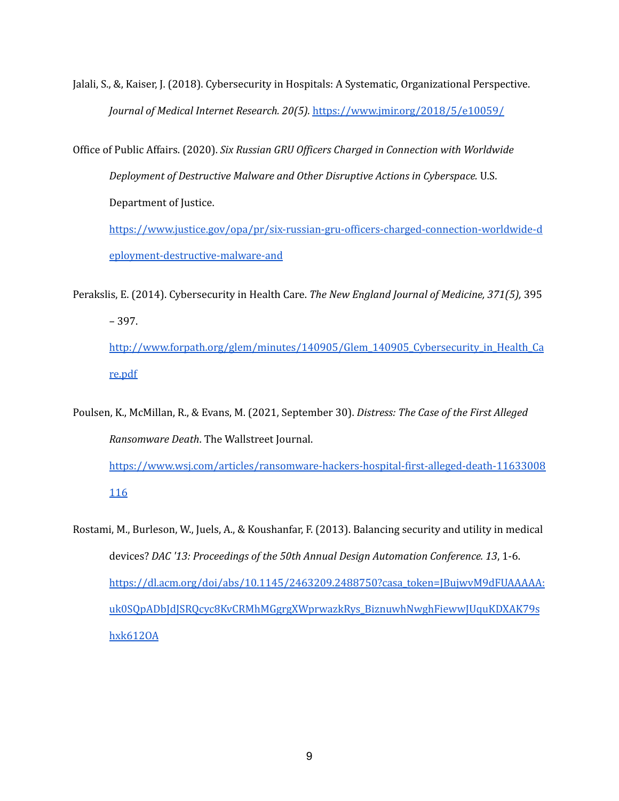Jalali, S., &, Kaiser, J. (2018). Cybersecurity in Hospitals: A Systematic, Organizational Perspective. *Journal of Medical Internet Research. 20(5).* <https://www.jmir.org/2018/5/e10059/>

Office of Public Affairs. (2020). *Six Russian GRU Of icers Charged in Connection with Worldwide Deployment of Destructive Malware and Other Disruptive Actions in Cyberspace.* U.S. Department of Justice[.](https://www.justice.gov/opa/pr/six-russian-gru-officers-charged-connection-worldwide-deployment-destructive-malware-and) [https://www.justice.gov/opa/pr/six-russian-gru-officers-charged-connection-worldwide-d](https://www.justice.gov/opa/pr/six-russian-gru-officers-charged-connection-worldwide-deployment-destructive-malware-and)

[eployment-destructive-malware-and](https://www.justice.gov/opa/pr/six-russian-gru-officers-charged-connection-worldwide-deployment-destructive-malware-and)

Perakslis, E. (2014). Cybersecurity in Health Care. *The New England Journal of Medicine, 371(5),* 395 – 397[.](http://www.forpath.org/glem/minutes/140905/Glem_140905_Cybersecurity_in_Health_Care.pdf) [http://www.forpath.org/glem/minutes/140905/Glem\\_140905\\_Cybersecurity\\_in\\_Health\\_Ca](http://www.forpath.org/glem/minutes/140905/Glem_140905_Cybersecurity_in_Health_Care.pdf) [re.pdf](http://www.forpath.org/glem/minutes/140905/Glem_140905_Cybersecurity_in_Health_Care.pdf)

Poulsen, K., McMillan, R., & Evans, M. (2021, September 30). *Distress: The Case of the First Alleged Ransomware Death*. The Wallstreet Journal. [https://www.wsj.com/articles/ransomware-hackers-hospital-first-alleged-death-11633008](https://www.wsj.com/articles/ransomware-hackers-hospital-first-alleged-death-11633008116)

[116](https://www.wsj.com/articles/ransomware-hackers-hospital-first-alleged-death-11633008116)

Rostami, M., Burleson, W., Juels, A., & Koushanfar, F. (2013). Balancing security and utility in medical devices? *DAC '13: Proceedings of the 50th Annual Design Automation Conference. 13*, 1-6. [https://dl.acm.org/doi/abs/10.1145/2463209.2488750?casa\\_token=JBujwvM9dFUAAAAA:](https://dl.acm.org/doi/abs/10.1145/2463209.2488750?casa_token=JBujwvM9dFUAAAAA:uk0SQpADbJdJSRQcyc8KvCRMhMGgrgXWprwazkRys_BiznuwhNwghFiewwJUquKDXAK79shxk612OA) [uk0SQpADbJdJSRQcyc8KvCRMhMGgrgXWprwazkRys\\_BiznuwhNwghFiewwJUquKDXAK79s](https://dl.acm.org/doi/abs/10.1145/2463209.2488750?casa_token=JBujwvM9dFUAAAAA:uk0SQpADbJdJSRQcyc8KvCRMhMGgrgXWprwazkRys_BiznuwhNwghFiewwJUquKDXAK79shxk612OA) [hxk612OA](https://dl.acm.org/doi/abs/10.1145/2463209.2488750?casa_token=JBujwvM9dFUAAAAA:uk0SQpADbJdJSRQcyc8KvCRMhMGgrgXWprwazkRys_BiznuwhNwghFiewwJUquKDXAK79shxk612OA)